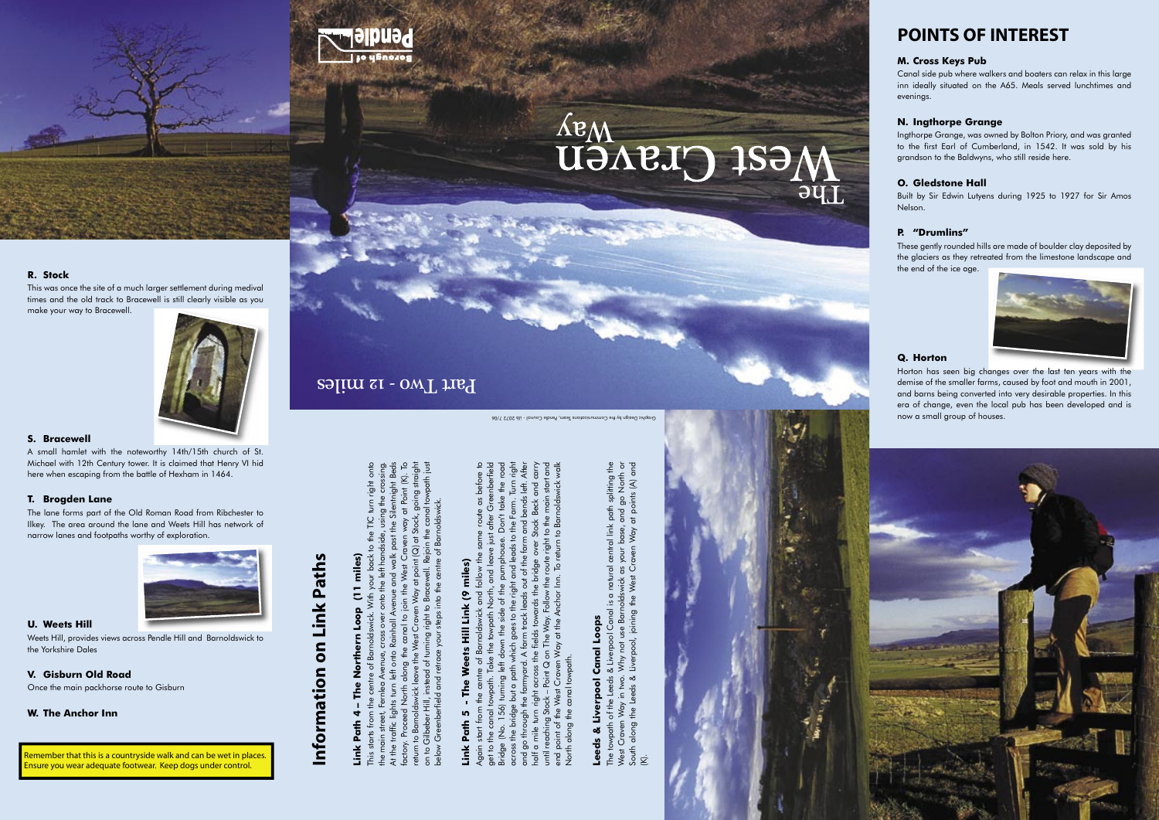

# GRI CIENCIJ

### **R. Stock**

This was once the site of a much larger settlement during medival times and the old track to Bracewell is still clearly visible as you make your way to Bracewell.



### **S. Bracewell**

A small hamlet with the noteworthy 14th/15th church of St. Michael with 12th Century tower. It is claimed that Henry VI hid here when escaping from the battle of Hexham in 1464.

### **T. Brogden Lane**

The lane forms part of the Old Roman Road from Ribchester to Ilkey. The area around the lane and Weets Hill has network of narrow lanes and footpaths worthy of exploration.



#### **U. Weets Hill**

Weets Hill, provides views across Pendle Hill and Barnoldswick to the Yorkshire Dales

### **V. Gisburn Old Road**

Once the main packhorse route to Gisburn

### **W. The Anchor Inn**

### **POINTS OF INTEREST**

### **M. Cross Keys Pub**

Canal side pub where walkers and boaters can relax in this large inn ideally situated on the A65. Meals served lunchtimes and evenings.

### **N. Ingthorpe Grange**

This starts from the centre of Barnoldswick. With your back to the TIC turn right onto the main street, Fernlea Avenue, cross over onto the left handside, using the crossing. At the traffic lights turn left onto Rainhall Avenue and walk past the Silentnight Beds factory. Proceed North along the canal to join the West Craven way at Point (K). To return to Barnoldswick leave the West Craven Way at point (Q) at Stock, going straight on to Gilbeber Hill, instead of turning right to Bracewell. Rejoin the canal towpath just below Greenberfield and retrace your steps into the centre of Barnoldswick.  $\circ$  $\widehat{\sigma}$ ৩ঁ  $\overline{\mathcal{C}}$  $\overline{5}$  $s = 1$  $\mathsf{Q}$ 

Ingthorpe Grange, was owned by Bolton Priory, and was granted to the first Earl of Cumberland, in 1542. It was sold by his grandson to the Baldwyns, who still reside here.

### **O. Gledstone Hall**

Built by Sir Edwin Lutyens during 1925 to 1927 for Sir Amos Nelson.

#### **P. "Drumlins"**

## **Link Path 5 - The Weets Hill Link (9 miles) In** Path Link

Again start from the centre of Barnoldswick and follow the same route as before to get to the canal towpath. Take the towpath North, and leave just after Greenberfield Bridge (No. 156) turning left down the side of the pumphouse. Don't take the road across the bridge but a path which goes to the right and leads to the Farm. Turn right and go through the farmyard. A farm track leads out of the farm and bends left. After half a mile turn right across the fields towards the bridge over Stock Beck and carry until reaching Stock – Point Q on The Way. Follow the route right to the main start and end point of the West Craven Way at the Anchor Inn. To return to Barnoldswick walk North along the canal towpath. Q  $\Omega$ 후

### **Loops Leeds & Liverpool Canal Loops** Canal Liverpool Leeds &

The towpath of the Leeds & Liverpool Canal is a natural central link path splitting the West Craven Way in two. Why not use Barnoldswick as your base, and go North or South along the Leeds & Liverpool, joining the West Craven Way at points (A) and ig  $\mathfrak{D}$ splittin  $\overline{z}$  $n<sub>15</sub>$  $9^{\circ}$ path<br>and g ē  $\overline{z}$ al link  $\sum_{k=1}^{\infty}$  $\overline{S}$ your  $\overline{p}$ Č  $\sigma$ ഊ និ Why  $\sim$  $\equiv$ Ⴆ towpath along Ğ The <del>i</del><br>West<br>So of .



These gently rounded hills are made of boulder clay deposited by the glaciers as they retreated from the limestone landscape and the end of the ice age.



### **Q. Horton**

Horton has seen big changes over the last ten years with the demise of the smaller farms, caused by foot and mouth in 2001, and barns being converted into very desirable properties. In this era of change, even the local pub has been developed and is now a small group of houses.



Remember that this is a countryside walk and can be wet in places. Ensure you wear adequate footwear. Keep dogs under control.

### Part Two - 12 miles

**Information on Link Paths**

Information on Link Paths

**Link Path 4 – The Northern Loop (11 miles)**

Path

Link

miles)

Ξ,

Graphic Design by the Communications Team, Pendle Council - iJb 2072 7/06